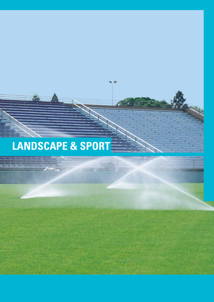# **LANDSCAPE & SPORT**

 $\mathbf{r}$ 

 $\frac{1}{2}$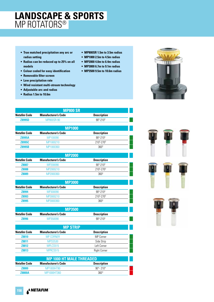### **LANDSCAPE & SPORTS** MP ROTATORS®

- **True matched precipitation any arc or radius setting**
- **Radius can be reduced up to 25% on all models**
- **Colour coded for easy identification**
- **Removable filter screen**
- **Low precipitation rate**
- **Wind resistant multi-stream technology**
- **Adjustable arc and radius**
- **Radius 1.5m to 10.6m**
- **MP800SR 1.5m to 3.5m radius**
- **MP1000 2.5m to 4.5m radius**
- **MP2000 4.0m to 6.4m radius**
- **MP3000 6.7m to 9.1m radius**
- **MP3500 9.5m to 10.6m radius**



| IVIP800 SK          |                            |                            |  |
|---------------------|----------------------------|----------------------------|--|
| <b>Netafim Code</b> | <b>Manufacturer's Code</b> | <b>Description</b>         |  |
| <b>Z8995D</b>       | <b>MP800SR-90</b>          | 900-2100                   |  |
|                     |                            |                            |  |
|                     | <b>MP1000</b>              |                            |  |
| <b>Netafim Code</b> | <b>Manufacturer's Code</b> | <b>Description</b>         |  |
| <b>Z8995A</b>       | MP100090                   | $90^{\circ} - 210^{\circ}$ |  |
| Z8995C              | MP1000210                  | 2100-2700                  |  |
| <b>Z8995B</b>       | MP1000360                  | $360^\circ$                |  |
|                     |                            |                            |  |

**MP800 SR**

| <b>MP2000</b>                                                    |                |  |  |  |
|------------------------------------------------------------------|----------------|--|--|--|
| <b>Manufacturer's Code</b><br>Netafim Code<br><b>Description</b> |                |  |  |  |
| MP200090                                                         | $90^0 - 210^0$ |  |  |  |
| MP2000210                                                        | 2100-2700      |  |  |  |
| MP2000360                                                        | $360^\circ$    |  |  |  |
|                                                                  |                |  |  |  |

| <b>MP3000</b>       |                            |                            |  |
|---------------------|----------------------------|----------------------------|--|
| <b>Netafim Code</b> | <b>Manufacturer's Code</b> | <b>Description</b>         |  |
| <b>Z8994</b>        | MP300090                   | $90^{\circ} - 210^{\circ}$ |  |
| Z8993               | MP3000210                  | 2100-2700                  |  |
| <b>Z8995</b>        | MP3000360                  | $360^\circ$                |  |

| <b>MP3500</b>       |                            |                    |  |
|---------------------|----------------------------|--------------------|--|
| <b>Netafim Code</b> | <b>Manufacturer's Code</b> | <b>Description</b> |  |
| <b>Z8996</b>        | MP350090                   | $90^0 - 210^0$     |  |

| <b>MP STRIP</b>     |                            |                     |
|---------------------|----------------------------|---------------------|
| <b>Netafim Code</b> | <b>Manufacturer's Code</b> | <b>Description</b>  |
| <b>Z8810</b>        | <b>MP CORNER</b>           | <b>MP Corner</b>    |
| Z8811               | <b>MPSS530</b>             | Side Strip          |
| Z8812               | MPLCS515                   | Left Corner         |
| <b>Z8813</b>        | MPRCS515                   | <b>Right Corner</b> |
|                     |                            |                     |

| MP 1000 HT MALE THREADED.                                        |             |                           |  |
|------------------------------------------------------------------|-------------|---------------------------|--|
| Netafim Code<br><b>Description</b><br><b>Manufacturer's Code</b> |             |                           |  |
| <b>Z8800</b>                                                     | MP1000HT90  | $90^\circ$ - 210 $^\circ$ |  |
| <b>Z8800A</b>                                                    | MP1000HT360 | $360^\circ$               |  |



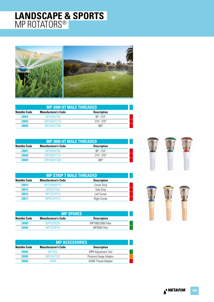### **LANDSCAPE & SPORTS** MP ROTATORS®



| <b>MP 2000 HT MALE THREADED</b>                                         |             |                             |  |
|-------------------------------------------------------------------------|-------------|-----------------------------|--|
| <b>Manufacturer's Code</b><br><b>Description</b><br><b>Netafim Code</b> |             |                             |  |
| <b>Z8804</b>                                                            | MP2000HT90  | $90^{\circ} - 210^{\circ}$  |  |
| <b>Z8805</b>                                                            | MP2000HT210 | $210^{\circ} - 270^{\circ}$ |  |
| <b>Z8806</b>                                                            | MP2000HT360 | $360^\circ$                 |  |

| <b>MP 3000 HT MALE THREADED</b> |                            |                             |  |
|---------------------------------|----------------------------|-----------------------------|--|
| Netafim Code                    | <b>Manufacturer's Code</b> | <b>Description</b>          |  |
| <b>Z8807</b>                    | MP3000HT90                 | $90^{\circ} - 210^{\circ}$  |  |
| <b>Z8808</b>                    | MP3000HT210                | $210^{\circ} - 270^{\circ}$ |  |
| <b>Z8809</b>                    | MP3000HT360                | $360^\circ$                 |  |

| <b>MP STRIP T MALE THREADED</b> |                            |                     |  |
|---------------------------------|----------------------------|---------------------|--|
| <b>Netafim Code</b>             | <b>Manufacturer's Code</b> | <b>Description</b>  |  |
| Z8814                           | <b>MPCORNER HT</b>         | Corner Strip        |  |
| Z8815                           | MPRSHT530                  | Side Strip          |  |
| Z8816                           | MPLCSHT515                 | Left Corner         |  |
| 78817                           | MPRCSHT515                 | <b>Right Corner</b> |  |

| <b>MP SPARES</b>                                                 |                  |                    |  |
|------------------------------------------------------------------|------------------|--------------------|--|
| Netafim Code<br><b>Description</b><br><b>Manufacturer's Code</b> |                  |                    |  |
| <b>Z8989</b>                                                     | <b>MPESCREEN</b> | MP1000/2000 Filter |  |
| 78990                                                            | <b>MPCSCREEN</b> | MP3000 Filter      |  |

| <b>MP ACCESSORIES</b> |                            |                            |
|-----------------------|----------------------------|----------------------------|
| <b>Netafim Code</b>   | <b>Manufacturer's Code</b> | <b>Description</b>         |
| <b>Z8083</b>          | <b>MPTOOL</b>              | <b>MPR Adjustment Tool</b> |
| Z8085                 | <b>MPADAPTER</b>           | Pressure Gauge Adaptor     |
| <b>Z8082</b>          | 10594                      | <b>ACME Thread Adapter</b> |



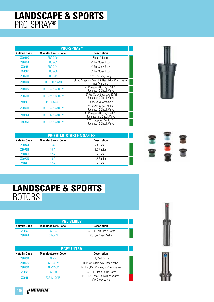### **LANDSCAPE & SPORTS** PRO-SPRAY®

| <b>PRO-SPRAY®</b>   |                            |                                                                 |  |
|---------------------|----------------------------|-----------------------------------------------------------------|--|
| <b>Netafim Code</b> | <b>Manufacturer's Code</b> | <b>Description</b>                                              |  |
| <b>Z9056G</b>       | <b>PROS-00</b>             | Shrub Adaptor                                                   |  |
| <b>Z9056A</b>       | <b>PROS-02</b>             | 2" Pro-Spray Body                                               |  |
| <b>Z9056</b>        | <b>PROS-04</b>             | 4" Pro-Spray Body                                               |  |
| <b>Z9056F</b>       | <b>PROS-06</b>             | 6" Pro-Spray Body                                               |  |
| <b>Z9056B</b>       | <b>PROS-12</b>             | 12" Pro-Spray Body                                              |  |
| <b>Z9056K</b>       | <b>PROS-00-PRS40</b>       | Shrub Adaptor c/w 40PSI Regulator, Check Valve<br>not Available |  |
| <b>Z9056C</b>       | PROS-04-PRS30-CV           | 4" Pro-Spray Body c/w 30PSI<br>Regulator & Check Valve          |  |
| <b>Z9056D</b>       | PROS-12-PRS30-CV           | 12" Pro-Spray Body c/w 30PSI<br>Regulator & Check Valve         |  |
| <b>Z9056E</b>       | <b>PRT 437400</b>          | <b>Check Valve Assembly</b>                                     |  |
| <b>Z9056H</b>       | PROS-04-PRS40-CV           | 4" Pro-Spray c/w 40 PSI<br>Regulator & Check Valve              |  |
| Z9056J              | PROS-06-PRS40-CV           | 6" Pro-Spray Body c/w 40PSI<br>Regulator and Check Valve        |  |
| <b>Z90561</b>       | PROS-12-PRS40-CV           | 12" Pro-Spray c/w 40 PSI<br>Regulator & Check Valve             |  |



| <b>PRO ADJUSTABLE NOZZLES</b> |                            |                    |  |
|-------------------------------|----------------------------|--------------------|--|
| <b>Netafim Code</b>           | <b>Manufacturer's Code</b> | <b>Description</b> |  |
| <b>Z9072A</b>                 | $8-A$                      | 2.4 Radius         |  |
| <b>Z9072B</b>                 | $10-A$                     | 3.0 Radius         |  |
| Z9072C                        | $12-A$                     | 3.7 Radius         |  |
| <b>Z9072D</b>                 | $15-A$                     | 4.6 Radius         |  |
| <b>Z9072E</b>                 | 17-A                       | 5.2 Radius         |  |



### **LANDSCAPE & SPORTS** ROTORS

| <b>PGJ SERIES</b>   |                            |                                   |  |
|---------------------|----------------------------|-----------------------------------|--|
| <b>Netafim Code</b> | <b>Manufacturer's Code</b> | <b>Description</b>                |  |
| 79052               | <b>PG.I-04</b>             | <b>PGJ Full/Part Circle Rotor</b> |  |
| 79052A              | <b>PG.I-04-V</b>           | PGJ c/w Check Valve               |  |

| <b>PGP® ULTRA</b>   |                            |                                                   |  |
|---------------------|----------------------------|---------------------------------------------------|--|
| <b>Netafim Code</b> | <b>Manufacturer's Code</b> | <b>Description</b>                                |  |
| <b>Z9053B</b>       | <b>PGP-04</b>              | <b>Full/Part Circle</b>                           |  |
| Z9053C              | <b>PGP-04-CV</b>           | Full/Part Circle c/w Check Valve                  |  |
| <b>Z9053D</b>       | <b>PGP-12-CV</b>           | 12" Full/Part Circle c/w Check Valve              |  |
| <b>Z9055</b>        | <b>PGP-00</b>              | PGP Full/Circle Shrub Rotor                       |  |
| <b>Z9051</b>        | <b>PGP-12-CV-R</b>         | PGH 12" Rotor, Reclaimed Water<br>c/w Check Valve |  |





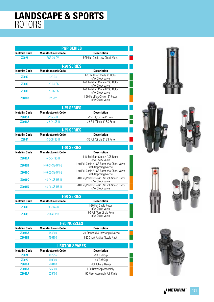### **LANDSCAPE & SPORTS** ROTORS

| <b>Manufacturer's Code</b> | <b>Description</b>                                   |
|----------------------------|------------------------------------------------------|
|                            |                                                      |
| <b>PGP-36-CV</b>           | PGP Full Circle c/w Check Valve                      |
|                            |                                                      |
| <b>Manufacturer's Code</b> | <b>Description</b>                                   |
| $1 - 20 - 04$              | I-20 Full/Part Circle 4" Rotor<br>c/w Check Valve    |
| $1-20-04-SS$               | I-20 Full/Part Circle 4" SS Rotor<br>c/w Check Valve |
| $1-20-06-SS$               | I-20 Full/Part Circle 6" SS Rotor<br>c/w Check Valve |
| $1 - 20 - 12$              | I-20 Full/Part Circle 12" Rotor<br>c/w Check Valve   |
|                            | <b>I-20 SERIES</b>                                   |

| <b>I-25 SERIES</b>                                               |                |                              |  |  |
|------------------------------------------------------------------|----------------|------------------------------|--|--|
| Netafim Code<br><b>Manufacturer's Code</b><br><b>Description</b> |                |                              |  |  |
| <b>Z9043A</b>                                                    | $1-25-04-8$    | I-25 Full/Circle 4" Rotor    |  |  |
| <b>Z9041A</b>                                                    | $1-25-04-SS-B$ | I-25 Full/Circle 4" SS Rotor |  |  |
|                                                                  |                |                              |  |  |

| <b>I-35 SERIES</b>                                                      |                |                              |  |
|-------------------------------------------------------------------------|----------------|------------------------------|--|
| <b>Netafim Code</b><br><b>Manufacturer's Code</b><br><b>Description</b> |                |                              |  |
| <b>Z9044</b>                                                            | $1-35-06-SS-B$ | 1-35 Full/Circle 6" SS Rotor |  |
|                                                                         |                |                              |  |

| <b>1-40 SERIES</b>  |                            |                                                                      |  |
|---------------------|----------------------------|----------------------------------------------------------------------|--|
| <b>Netafim Code</b> | <b>Manufacturer's Code</b> | <b>Description</b>                                                   |  |
| <b>Z9046A</b>       | I-40-04-SS-B               | I-40 Full/Part Circle 4" SS Rotor<br>c/w Check Valve                 |  |
| <b>Z9046B</b>       | I-40-04-SS-ON-B            | I-40 Full Circle 4" SS Rotor c/w Check Valve<br>with Opposing Nozzle |  |
| <b>Z9046C</b>       | I-40-06-SS-ON-B            | I-40 Full Circle 6" SS Rotor c/w Check Valve<br>with Opposing Nozzle |  |
| Z9045C              | I-40-04-SS-HS-B            | I-40 Full/Part Circle 4" SS High Speed Rotor<br>c/w Check Valve      |  |
| <b>Z9045D</b>       | I-40-06-SS-HS-B            | I-40 Full/Part Circle 6" SS High Speed Rotor<br>c/w Check Valve      |  |

| <b>I-90 SERIES</b>                                                      |              |                                                |  |  |
|-------------------------------------------------------------------------|--------------|------------------------------------------------|--|--|
| <b>Manufacturer's Code</b><br><b>Netafim Code</b><br><b>Description</b> |              |                                                |  |  |
| <b>Z9048</b>                                                            | $I-90-36V-B$ | I-90 Full Circle Rotor<br>c/w Check Valve      |  |  |
| <b>Z9049</b>                                                            | $I-90-ADV-B$ | I-90 Full/Part Circle Rotor<br>c/w Check Valve |  |  |

| <b>I-20 NOZZLES</b>                                              |         |                                  |  |
|------------------------------------------------------------------|---------|----------------------------------|--|
| Netafim Code<br><b>Manufacturer's Code</b><br><b>Description</b> |         |                                  |  |
| <b>Z9038A</b>                                                    | 444800  | I-20 Standard & Low Angle Nozzle |  |
| <b>Z9038B</b>                                                    | 466100. | 1-20 Short Radius Nozzle Rack    |  |

| <b>I ROTOR SPARES</b> |                            |                                 |  |
|-----------------------|----------------------------|---------------------------------|--|
| <b>Netafim Code</b>   | <b>Manufacturer's Code</b> | <b>Description</b>              |  |
| Z9071                 | 467955                     | I-90 Turf Cup                   |  |
| <b>Z9072</b>          | 460000                     | I-40 Turf Cup                   |  |
| <b>Z9068A</b>         | 280100                     | Pitot Tube & Gauge              |  |
| <b>Z9048A</b>         | 525000                     | I-90 Body Cap Assembly          |  |
| <b>Z9086A</b>         | 525400                     | I-90 Riser Assembly Full Circle |  |









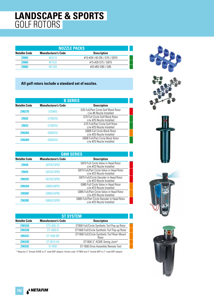### **LANDSCAPE & SPORTS** GOLF ROTORS

| <b>NOZZLE PACKS</b> |                            |                              |
|---------------------|----------------------------|------------------------------|
| <b>Netafim Code</b> | <b>Manufacturer's Code</b> | <b>Description</b>           |
| <b>Z9083</b>        | 463210                     | #15-#28 I-40-ON / G70 / G870 |
| <b>Z9084</b>        | 461532                     | #15-#28 G75 / G875           |
| 79082               | 461204                     | #33-#63 G90 / G95            |

#### **All golf rotors include a standard set of nozzles.**

| <b>B SERIES</b>     |                            |                                                                  |  |
|---------------------|----------------------------|------------------------------------------------------------------|--|
| <b>Netafim Code</b> | <b>Manufacturer's Code</b> | <b>Description</b>                                               |  |
| <b>Z9027D</b>       | G35B6S                     | G35 Full/Part Circle Golf Block Rotor<br>c/w #6 Nozzle Installed |  |
| <b>Z9032</b>        | G70B25S                    | G70 Full Circle Golf Block Rotor<br>c/w #25 Nozzle Installed     |  |
| <b>Z9033</b>        | G75B25S                    | G75 Full/Part Circle Golf Rotor<br>c/w #25 Nozzle Installed      |  |
| <b>Z9028G</b>       | G80B25S                    | <b>G80B Full Circle Block Rotor</b><br>c/w #25 Nozzle Installed  |  |
| <b>79028H</b>       | G85B25S                    | G85B Full/Part Circle Block Rotor<br>c/w #25 Nozzle Installed    |  |

| <b>G800 SERIES</b>  |                            |                                                                         |  |
|---------------------|----------------------------|-------------------------------------------------------------------------|--|
| <b>Netafim Code</b> | <b>Manufacturer's Code</b> | <b>Description</b>                                                      |  |
| <b>Z9028</b>        | G870E23P6S                 | G870 Full Circle Valve in Head Rotor<br>c/w #23 Nozzle Installed        |  |
| <b>Z9029</b>        | G875E23P6S                 | G875 Full/Part Circle Valve in Head Rotor<br>c/w #23 Nozzle Installed   |  |
| <b>Z9029C</b>       | G875D23P6S                 | G875 Full/Circle Decoder in Head Rotor<br>c/w #23 Nozzle Installed      |  |
| <b>Z9029A</b>       | G880E48P8S                 | G880 Full Circle Valve in Head Rotor<br>c/w #23 Nozzle Installed        |  |
| <b>Z9028F</b>       | G885E25P8S                 | G885 Full/Part Circle Valve in Head Rotor<br>c/w #25 Nozzle Installed   |  |
| <b>Z9028E</b>       | G885D25P8S                 | G885 Full/Part Circle Decoder in Head Rotor<br>c/w #25 Nozzle Installed |  |

| <b>ST SYSTEM</b>                                                        |                   |                                                        |  |  |
|-------------------------------------------------------------------------|-------------------|--------------------------------------------------------|--|--|
| <b>Netafim Code</b><br><b>Manufacturer's Code</b><br><b>Description</b> |                   |                                                        |  |  |
| <b>Z9033A</b>                                                           | STG-900-73        | ST900 Full/Circle Synthetic Turf Pop-up Rotor          |  |  |
| <b>Z9033B</b>                                                           | ST-1600-B         | ST1600 Full/Circle Synthetic Turf Pop-up Rotor         |  |  |
| <b>Z9033C</b>                                                           | <b>ST-1600-BR</b> | ST1600 Full/Circle Synthetic Turf Riser Mount<br>Rotor |  |  |
| <b>Z9033D</b>                                                           | <b>ST-3010-VA</b> | ST1600 3" ACME Swing Joint^                            |  |  |
| <b>Z9033E</b>                                                           | 517600            | ST-1600 Drive Assembly Remote Tool                     |  |  |

^ Requires 3" female ACME to 3" male BSP adaptor, Hunter code: 477800 and 3" female BSP to 2" male BSP adaptor









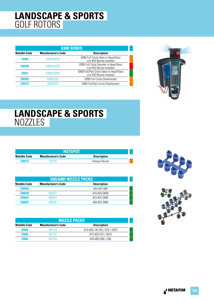### **LANDSCAPE & SPORTS** GOLF ROTORS

| <b>G900 SERIES</b>  |                            |                                                                       |  |
|---------------------|----------------------------|-----------------------------------------------------------------------|--|
| <b>Netafim Code</b> | <b>Manufacturer's Code</b> | <b>Description</b>                                                    |  |
| <b>Z9030</b>        | G990E53P8S                 | G990 Full Circle Valve in Head Rotor<br>c/w #53 Nozzle Installed      |  |
| <b>Z9030D</b>       | G990D53P8S                 | G990 Full Circle Decoder in Head Rotor<br>c/w #53 Nozzle Installed    |  |
| <b>Z9031</b>        | G995E53P8S                 | G995 Full/Part Circle Valve in Head Rotor<br>c/w #53 Nozzle Installed |  |
| <b>Z9030C</b>       | G990C53S                   | G990 Full Circle Checkomatic                                          |  |
| Z9031C              | G995C53S                   | G995 Full/Part Circle Checkomatic                                     |  |



### **LANDSCAPE & SPORTS NOZZLES**

|               | 'HOTŜPOT                   |                    |  |
|---------------|----------------------------|--------------------|--|
| Netafim Code  | <b>Manufacturer's Code</b> | <b>Description</b> |  |
| <b>Z9057C</b> | 160705                     | Hotspot Nozzle     |  |

| <b>G80/G885 NOZZLE PACKS</b> |                            |                    |  |
|------------------------------|----------------------------|--------------------|--|
| <b>Netafim Code</b>          | <b>Manufacturer's Code</b> | <b>Description</b> |  |
| Z9083A                       |                            | #25-#53 G80        |  |
| <b>Z9083B</b>                | 460023                     | #10-#20 G85B       |  |
| <b>Z9084A</b>                | 460024                     | #23-#33 G885       |  |
| <b>Z9083C</b>                | 460025                     | #38-#53 G885       |  |

| <b>NOZZLE PACKS</b>        |                              |  |
|----------------------------|------------------------------|--|
| <b>Manufacturer's Code</b> | <b>Description</b>           |  |
| 463210                     | #15-#28 I-40-ON / G70 / G870 |  |
| 461532                     | #15-#28 G75 / G875           |  |
| 461204                     | #33-#63 G90 / G95            |  |
|                            |                              |  |



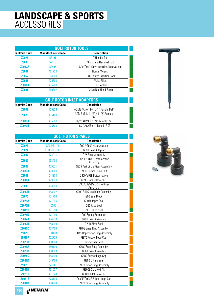### **LANDSCAPE & SPORTS** ACCESSORIES

| <b>GOLF ROTOR TOOLS</b> |                            |                                       |  |
|-------------------------|----------------------------|---------------------------------------|--|
| <b>Netafim Code</b>     | <b>Manufacturer's Code</b> | <b>Description</b>                    |  |
| <b>Z9076</b>            | 53191                      | T-Handle Tool                         |  |
| <b>Z9066</b>            | 52510                      | Snap Ring Removal Tool                |  |
| <b>Z9067A</b>           | 52805                      | G90/G900 Valve Insertion/removal tool |  |
| <b>Z9081</b>            | 461720                     | Hunter Wrench                         |  |
| <b>Z9067</b>            | 604000                     | G800 Valve Insertion Tool             |  |
| <b>Z9068</b>            | 475600                     | Valve Pliers                          |  |
| <b>Z9091A</b>           | 475700                     | Golf Tool Kit                         |  |
| <b>Z9091</b>            | 460302                     | Valve Box Hand Pump                   |  |

| <b>GOLF ROTOR INLET ADAPTORS</b>                                        |        |                                       |  |
|-------------------------------------------------------------------------|--------|---------------------------------------|--|
| <b>Netafim Code</b><br><b>Manufacturer's Code</b><br><b>Description</b> |        |                                       |  |
| <b>Z9069</b>                                                            | 105329 | ACME Male 11/4" x 1" Female BSP       |  |
| <b>Z9070</b>                                                            | 475100 | ACME Male 11/2" x 11/2" Female<br>BSP |  |
| <b>Z9070A</b>                                                           | 475300 | 11/2" ACME x 11/4" Female BSP         |  |
| <b>79070B</b>                                                           | 475500 | 11/2" ACME x 1" Female BSP            |  |

| <b>GOLF ROTOR SPARES</b> |                            |                                          |  |
|--------------------------|----------------------------|------------------------------------------|--|
| <b>Netafim Code</b>      | <b>Manufacturer's Code</b> | <b>Description</b>                       |  |
| Z9073                    | G90-HS-100                 | G90 / G900 Hose Adaptor                  |  |
| Z9074                    | G800-HS-100                | G800 Hose Adaptor                        |  |
| Z9087                    | 474211                     | G75 Riser Assembly                       |  |
| Z9085                    | 563400                     | G870E/G875E Bottom Valve<br>Assembly     |  |
| <b>Z9088</b>             | 475571                     | G875 Part Circle Riser Assembly          |  |
| <b>Z9030A</b>            | 473800                     | G900E Rubber Cover Kit                   |  |
| Z9089                    | 643200                     | G900/G99E Bottom Valve                   |  |
| <b>Z9031A</b>            | 473900                     | G995 Rubber Cover Kit                    |  |
| <b>Z9086</b>             | 463004                     | G95 / G995 Part Circle Riser<br>Assembly |  |
| <b>Z9030B</b>            | 463002                     | G990 Full Circle Riser Assembly          |  |
| Z9075                    | 171700                     | G90 Seal Block                           |  |
| Z9075A                   | 171895                     | G90 Bumper Seal                          |  |
| Z9075B                   | 46000                      | G90 Face Seal                            |  |
| Z9075C                   | 171600                     | G90 O-Ring Seal                          |  |
| Z9075D                   | 171900                     | G90 Spring Retraction                    |  |
| Z9032A                   | 474210                     | G70B Riser Assembly                      |  |
| Z9032B                   | 348900                     | <b>G70B Riser Seal</b>                   |  |
| Z9032C                   | 403400                     | <b>G70B Snap Ring Assembly</b>           |  |
| <b>Z9029E</b>            | 610100                     | G875 Upper Snap Ring Assembly            |  |
| <b>Z9029F</b>            | 402720                     | G875 Rubber Logo Cap                     |  |
| <b>Z9029G</b>            | 450500                     | G875 Riser Seal                          |  |
| Z9028A                   | 450100                     | G880 Snap Ring Assembly                  |  |
| Z9028B                   | 460009                     | <b>G880 Riser Assembly</b>               |  |
| Z9028C                   | 453800                     | G880 Rubber Logo Cap                     |  |
| <b>Z9028D</b>            | 549400                     | G880 O Ring Seal                         |  |
| Z9031F                   | 52830                      | <b>G900E Snap Ring Assembly</b>          |  |
| Z9031H                   | 461537                     | G900E Solenoid Kit                       |  |
| Z90311                   | 461540                     | <b>G800E Pilot Valve Kit</b>             |  |
| Z9031E                   | 378105                     | G800E/G900E Rubber Logo Cap              |  |
| Z9031B                   | 430700                     | G995E Snap Ring Assembly                 |  |



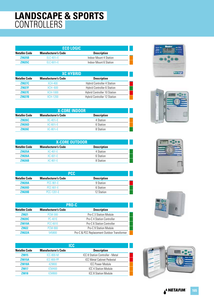### **LANDSCAPE & SPORTS** CONTROLLERS

| <b>ECO LOGIC</b> |                            |                        |  |
|------------------|----------------------------|------------------------|--|
| Netafim Code     | <b>Manufacturer's Code</b> | <b>Description</b>     |  |
| <b>Z9025B</b>    | $FI C-401i-F$              | Indoor Mount 4 Station |  |
| <b>Z9025C</b>    | $FIC-FO1i-F$               | Indoor Mount 6 Station |  |

| <b>XC HYBRID</b>    |                            |                                     |  |
|---------------------|----------------------------|-------------------------------------|--|
| <b>Netafim Code</b> | <b>Manufacturer's Code</b> | <b>Description</b>                  |  |
| <b>Z9027C</b>       | XCH-400                    | <b>Hybrid Controller 4 Station</b>  |  |
| <b>Z9027F</b>       | $XCH-600$                  | <b>Hybrid Controller 6 Station</b>  |  |
| <b>Z9027E</b>       | XCH-1000                   | Hybrid Controller 10 Station        |  |
| <b>79027B</b>       | XCH-1200                   | <b>Hybrid Controller 12 Station</b> |  |

| <b>X-CORE INDOOR</b> |                            |                    |  |
|----------------------|----------------------------|--------------------|--|
| <b>Netafim Code</b>  | <b>Manufacturer's Code</b> | <b>Description</b> |  |
| <b>Z9026C</b>        | $XC-401i-E$                | 4 Station          |  |
| <b>Z9026D</b>        | $XC-601i-E$                | 6 Station          |  |
| <b>79026F</b>        | $XC-801i-F$                | 8 Station          |  |

| <b>X-CORE OUTDOOR</b> |                            |                    |  |
|-----------------------|----------------------------|--------------------|--|
| <b>Netafim Code</b>   | <b>Manufacturer's Code</b> | <b>Description</b> |  |
| <b>Z9025A</b>         | $XC-401-E$                 | 4 Station          |  |
| <b>Z9026A</b>         | $XC-601-E$                 | 6 Station          |  |
| <b>Z9026B</b>         | $XC-801-F$                 | 8 Station          |  |

| <b>PCC</b>          |                            |                    |
|---------------------|----------------------------|--------------------|
| <b>Netafim Code</b> | <b>Manufacturer's Code</b> | <b>Description</b> |
| <b>Z9020A</b>       | <b>PCC-901-F</b>           | 9 Station          |
| <b>Z9020D</b>       | <b>PCC-601-F</b>           | 6 Station          |
| <b>Z9020B</b>       | PCC-1201-F                 | 12 Station         |

| <b>PRO-C</b>        |                            |                                             |
|---------------------|----------------------------|---------------------------------------------|
| <b>Netafim Code</b> | <b>Manufacturer's Code</b> | <b>Description</b>                          |
| <b>Z9021</b>        | <b>PCM-300</b>             | Pro-C 3 Station Module                      |
| <b>Z9020C</b>       | <b>PC-401E</b>             | <b>Pro-C 4 Station Controller</b>           |
| <b>Z9019A</b>       | <b>PCC-601E</b>            | <b>Pro-C 6 Station Controller</b>           |
| <b>Z9022</b>        | <b>PCM-900</b>             | <b>Pro-C 9 Station Module</b>               |
| 79022A              | 545800                     | Pro-C & PCC Replacement Outdoor Transformer |

| <b>ICC</b>          |                            |                                         |
|---------------------|----------------------------|-----------------------------------------|
| <b>Netafim Code</b> | <b>Manufacturer's Code</b> | <b>Description</b>                      |
| Z9015               | <b>ICC-800-M</b>           | <b>ICC 8 Station Controller - Metal</b> |
| <b>Z9015A</b>       | <b>ICC-800-PP</b>          | <b>ICC Metal Cabinet Pedestal</b>       |
| <b>Z9018A</b>       | 429800                     | <b>ICC Power Module</b>                 |
| <b>Z9017</b>        | <b>ICM400</b>              | ICC 4 Station Module                    |
| 79018               | ICM800                     | <b>ICC 8 Station Module</b>             |









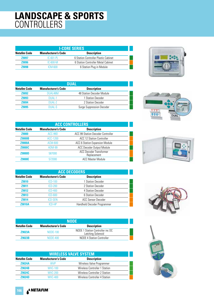### **LANDSCAPE & SPORTS** CONTROLLERS

| <b>I-CORE SERIES</b> |                            |                                      |  |
|----------------------|----------------------------|--------------------------------------|--|
| Netafim Code         | <b>Manufacturer's Code</b> | <b>Description</b>                   |  |
| <b>Z9097</b>         | $IC-601-PI$                | 6 Station Controller Plastic Cabinet |  |
| <b>Z9096</b>         | $IC-600-M$                 | 6 Station Controller Metal Cabinet   |  |
| 79098                | ICM-600                    | 6 Station Plug in Module             |  |



| DUAL                |                            |                                  |  |
|---------------------|----------------------------|----------------------------------|--|
| <b>Netafim Code</b> | <b>Manufacturer's Code</b> | <b>Description</b>               |  |
| <b>Z9092</b>        | DUAL48M                    | 48 Station Decoder Module        |  |
| <b>Z9093</b>        | DUAL-1                     | 1 Station Decoder                |  |
| <b>Z9094</b>        | DUAL-2                     | 2 Station Decoder                |  |
| 79095               | <b>DUAL-S</b>              | <b>Surge Suppression Decoder</b> |  |

| <b>ACC CONTROLLERS</b> |                            |                                               |
|------------------------|----------------------------|-----------------------------------------------|
| <b>Netafim Code</b>    | <b>Manufacturer's Code</b> | <b>Description</b>                            |
| <b>Z9000</b>           | ACC-99D                    | <b>ACC 99 Station Decoder Controller</b>      |
| <b>Z9000B</b>          | <b>ACC-1200</b>            | <b>ACC 12 Station Controller</b>              |
| <b>Z9000A</b>          | ACM-600                    | ACC 6 Station Expansion Module                |
| <b>Z9000C</b>          | <b>ADM-99</b>              | <b>ACC Decoder Output Module</b>              |
| <b>Z9000D</b>          | 587000                     | <b>ACC Decoder Transformer</b><br>Replacement |
| <b>Z9000E</b>          | 572000                     | <b>ACC Master Module</b>                      |

| <b>ACC DECODERS</b> |                            |                             |  |
|---------------------|----------------------------|-----------------------------|--|
| <b>Netafim Code</b> | <b>Manufacturer's Code</b> | <b>Description</b>          |  |
| Z9010               | <b>ICD-100</b>             | 1 Station Decoder           |  |
| <b>Z9011</b>        | $ICD-200$                  | 2 Station Decoder           |  |
| Z9012               | <b>ICD-400</b>             | 4 Station Decoder           |  |
| Z9013               | $ICD-600$                  | 6 Station Decoder           |  |
| Z9014               | <b>ICD-SEN</b>             | ACC Sensor Decoder          |  |
| <b>Z9010A</b>       | ICD-HP                     | Handheld Decoder Programmer |  |

| <b>NODE</b>                |                                                       |  |  |  |
|----------------------------|-------------------------------------------------------|--|--|--|
| <b>Manufacturer's Code</b> | <b>Description</b>                                    |  |  |  |
| NODE-100                   | NODE 1 Station Controller inc DC<br>Latching Solenoid |  |  |  |
| $N$ ODF-400                | <b>NODE 4 Station Controller</b>                      |  |  |  |
|                            |                                                       |  |  |  |

| <b>WIRELESS VALVE SYSTEM</b> |                            |                                      |  |
|------------------------------|----------------------------|--------------------------------------|--|
| <b>Netafim Code</b>          | <b>Manufacturer's Code</b> | <b>Description</b>                   |  |
| <b>Z9024A</b>                | <b>WVP</b>                 | Wireless Valve Programmer            |  |
| <b>Z9024B</b>                | <b>WVC-100</b>             | <b>Wireless Controller 1 Station</b> |  |
| <b>Z9024C</b>                | <b>WVC-200</b>             | Wireless Controller 2 Station        |  |
| <b>79024D</b>                | <b>WVC-400</b>             | Wireless Controller 4 Station        |  |









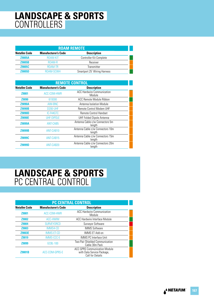### **LANDSCAPE & SPORTS** CONTROLLERS

| <b>ROAM REMOTE</b>  |                            |                              |  |
|---------------------|----------------------------|------------------------------|--|
| <b>Netafim Code</b> | <b>Manufacturer's Code</b> | <b>Description</b>           |  |
| <b>Z9005A</b>       | ROAM-KIT                   | Controller Kit Complete      |  |
| <b>Z9005B</b>       | ROAM-R                     | Receiver                     |  |
| <b>Z9005C</b>       | ROAM-TR                    | Transmitter                  |  |
| <b>79005D</b>       | ROAM-SCWH                  | Smartport 25' Wiring Harness |  |

| <b>REMOTE CONTROL</b> |                            |                                             |
|-----------------------|----------------------------|---------------------------------------------|
| <b>Netafim Code</b>   | <b>Manufacturer's Code</b> | <b>Description</b>                          |
| <b>Z9001</b>          | ACC-COM-HWR                | <b>ACC Hardwire Communication</b><br>Module |
| <b>Z9090</b>          | 619300                     | ACC Remote Module Ribbon                    |
| <b>Z9090A</b>         | AIM-BNC                    | Antenna Isolation Module                    |
| <b>Z9090B</b>         | <b>D200-UHF</b>            | <b>Remote Control Modem UHF</b>             |
| <b>Z9090D</b>         | IC-F44GTC                  | <b>Remote Control Handset</b>               |
| <b>Z9090E</b>         | <b>UHF-DIPOLE</b>          | UHF Folded Dipole Antenna                   |
| <b>Z9099A</b>         | ANT-CAB5                   | Antenna Cable c/w Connectors 5m<br>length   |
| <b>Z9099B</b>         | ANT-CAB10                  | Antenna Cable c/w Connectors 10m<br>length  |
| Z9099C                | ANT-CAB15                  | Antenna Cable c/w Connectors 15m<br>length  |
| <b>Z9099D</b>         | ANT-CAB20                  | Antenna Cable c/w Connectors 20m<br>length  |

### **LANDSCAPE & SPORTS** PC CENTRAL CONTROL

| <b>PC CENTRAL CONTROL</b> |                            |                                                                                               |  |
|---------------------------|----------------------------|-----------------------------------------------------------------------------------------------|--|
| <b>Netafim Code</b>       | <b>Manufacturer's Code</b> | <b>Description</b>                                                                            |  |
| <b>Z9001</b>              | ACC-COM-HWR                | <b>ACC Hardwire Communication</b><br>Module                                                   |  |
| <b>Z9002</b>              | ACC-HWIM                   | ACC Hardwire Interface Module                                                                 |  |
| <b>Z9004</b>              | <b>SURVEYORCD</b>          | Surveyor Software                                                                             |  |
| <b>Z9003</b>              | IMMS4-CD                   | <b>IMMS Software</b>                                                                          |  |
| <b>Z9003E</b>             | <b>IMMS-ET-CD</b>          | <b>IMMS ET Add-on</b>                                                                         |  |
| Z9019                     | <b>IMMS-CCC-E</b>          | <b>IMMS PC Interface Unit</b>                                                                 |  |
| Z9099                     | <b>GCBL-100</b>            | Two Pair Shielded Communication<br>Cable 30m Pack                                             |  |
| <b>Z9001B</b>             | ACC-COM-GPRS-E             | <b>ACC GPRS Communication Module</b><br>with Data Service Package,<br><b>Call for Details</b> |  |

A<sup>&</sup> NETAFIM **167**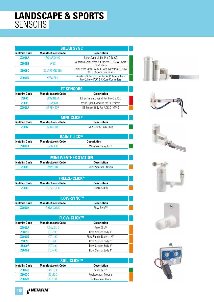### **LANDSCAPE & SPORTS** SENSORS

| <b>SOLAR SYNC</b>   |                            |                                                                                     |  |
|---------------------|----------------------------|-------------------------------------------------------------------------------------|--|
| <b>Netafim Code</b> | <b>Manufacturer's Code</b> | <b>Description</b>                                                                  |  |
| <b>Z9008A</b>       | <b>SOLARSYNC</b>           | Solar Sync Kit For Pro-C & ICC                                                      |  |
| <b>Z9008B</b>       | WSS                        | Wireless Solar Sync Kit for Pro-C, ICC & I-Core<br>Controllers                      |  |
| <b>Z9008C</b>       | <b>SOLARSYNCSEN</b>        | Solar Sync kit for ACC, I-Core, New Pro-C, New<br>PCC & X-Core Controllers          |  |
| <b>79008D</b>       | <b>WSS-SEN</b>             | Wireless Solar Sync kit for ACC, I-Core, New<br>Pro-C, New PCC & X-Core Controllers |  |

| <b>ET SENSORS</b>   |                            |                                     |  |
|---------------------|----------------------------|-------------------------------------|--|
| <b>Netafim Code</b> | <b>Manufacturer's Code</b> | <b>Description</b>                  |  |
| <b>Z9005</b>        | <b>FTSYSTEM</b>            | ET System (no Wind) For Pro-C & ICC |  |
| <b>Z9006</b>        | <b>FT-WIND</b>             | Wind Speed Module for ET System     |  |
| <b>Z9006A</b>       | <b>FT-SENSOR</b>           | ET Sensor Only For ACC & IMMS       |  |

| <b>MINI-CLICK®</b>                                               |            |                       |  |
|------------------------------------------------------------------|------------|-----------------------|--|
| Netafim Code<br><b>Manufacturer's Code</b><br><b>Description</b> |            |                       |  |
| <b>79007</b>                                                     | MINI-CI IK | Mini-Clik® Rain-Click |  |

| <b>RAIN-CLICK™</b>  |                            |                     |  |
|---------------------|----------------------------|---------------------|--|
| <b>Netafim Code</b> | <b>Manufacturer's Code</b> | <b>Description</b>  |  |
| <b>Z9007A</b>       | WR-CLIK                    | Wireless Rain-Clik™ |  |

| <b>MINI WEATHER STATION</b>             |                            |                    |  |
|-----------------------------------------|----------------------------|--------------------|--|
| Netafim Code                            | <b>Manufacturer's Code</b> | <b>Description</b> |  |
| 79008<br>Mini Weather Station<br>MWS-FR |                            |                    |  |

|              | <b>FREEZE-CLICK®</b>       |                    |
|--------------|----------------------------|--------------------|
| Netafim Code | <b>Manufacturer's Code</b> | <b>Description</b> |
| 79NN9        | FRFF7F-CLIK                | Freeze-Clik®       |

| <b>FLOW-SYNC™</b>   |                            |                    |  |
|---------------------|----------------------------|--------------------|--|
| <b>Netafim Code</b> | <b>Manufacturer's Code</b> | <b>Description</b> |  |
| <b>79009H</b>       | FLOW-SYNC                  | Flow-Sync™         |  |

| <b>FLOW-CLICK™</b>  |                            |                         |  |
|---------------------|----------------------------|-------------------------|--|
| <b>Netafim Code</b> | <b>Manufacturer's Code</b> | <b>Description</b>      |  |
| <b>Z9009A</b>       | <b>FLOW-CLIK</b>           | Flow-Clik™              |  |
| Z9009C              | <b>FCT-100</b>             | Flow Sensor Body 1"     |  |
| <b>Z9009D</b>       | <b>FCT-150</b>             | Flow Sensor Body 1 1/2" |  |
| <b>Z9009E</b>       | <b>FCT-200</b>             | Flow Sensor Body 2"     |  |
| <b>Z9009F</b>       | <b>FCT-300</b>             | Flow Sensor Body 3"     |  |
| Z9009G              | <b>FCT-400</b>             | Flow Sensor Body 4"     |  |

| I SOIL-CLICK™ '                                                         |                |                             |  |
|-------------------------------------------------------------------------|----------------|-----------------------------|--|
| <b>Manufacturer's Code</b><br><b>Description</b><br><b>Netafim Code</b> |                |                             |  |
| <b>Z9007B</b>                                                           | SOILCLIK       | $S$ oil-Click <sup>TM</sup> |  |
| <b>Z9007C</b>                                                           | <b>SCMOD</b>   | Replacement Module          |  |
| <b>Z9007D</b>                                                           | <b>SCPROBE</b> | Replacement Probe           |  |













### A<sup>&</sup> NETAFIM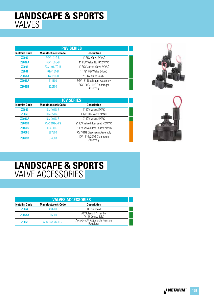### **LANDSCAPE & SPORTS** VALVES

| <b>PGV SERIES</b>   |                            |                                    |  |
|---------------------|----------------------------|------------------------------------|--|
| <b>Netafim Code</b> | <b>Manufacturer's Code</b> | <b>Description</b>                 |  |
| <b>Z9062</b>        | <b>PGV-101G-B</b>          | 1" PGV Valve 24VAC                 |  |
| <b>Z9062A</b>       | <b>PGV-100G-B</b>          | 1" PGV Valve No FC 24VAC           |  |
| Z9063               | PGV-101JTG-B               | 1" PGV Jartop Valve 24VAC          |  |
| <b>Z9061</b>        | <b>PGV-151-B</b>           | 1 1/2" PGV Valve 24VAC             |  |
| <b>Z9061A</b>       | <b>PGV-201-B</b>           | 2" PGV Valve 24VAC                 |  |
| <b>Z9063A</b>       | 414100                     | PGV-151 Diaphragm Assembly         |  |
| <b>Z9063B</b>       | 332100                     | PGV100G/101G Diaphragm<br>Assembly |  |



| <b>ICV SERIES</b>   |                            |                                     |  |
|---------------------|----------------------------|-------------------------------------|--|
| <b>Netafim Code</b> | <b>Manufacturer's Code</b> | <b>Description</b>                  |  |
| Z9059               | <b>ICV-101G-B</b>          | 1" ICV Valve 24VAC                  |  |
| <b>Z9060</b>        | <b>ICV-151G-B</b>          | 1 1/2" ICV Valve 24VAC              |  |
| <b>Z9060A</b>       | ICV-201G-B                 | 2" ICV Valve 24VAC                  |  |
| <b>Z9060B</b>       | ICV-201G-B-FS              | 2" ICV Valve Filter Sentry 24VAC    |  |
| <b>Z9060C</b>       | <b>ICV-301-B</b>           | 3" ICV Valve Filter Sentry 24VAC    |  |
| <b>Z9060E</b>       | 387800                     | ICV 101G Diaphragm Assembly         |  |
| Z9060D              | 374500                     | ICV 151G/201G Diaphragm<br>Assembly |  |



# **LANDSCAPE & SPORTS** VALVE ACCESSORIES

| <b>VALVES ACCESSORIES</b> |                            |                                             |  |
|---------------------------|----------------------------|---------------------------------------------|--|
| <b>Netafim Code</b>       | <b>Manufacturer's Code</b> | <b>Description</b>                          |  |
| <b>Z9064</b>              | 458200                     | DC Solenoid                                 |  |
| <b>Z9064A</b>             | 606800                     | AC Solenoid Assembly<br>(V-I-H Compatible)  |  |
| <b>Z9065</b>              | ACCU-SYNC-ADJ              | Accu-Sync™ Adjustable Pressure<br>Regulator |  |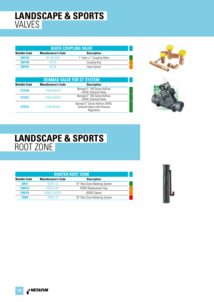### **LANDSCAPE & SPORTS** VALVES

| <b>QUICK COUPLING VALVE</b> |                            |                              |  |
|-----------------------------|----------------------------|------------------------------|--|
| <b>Netafim Code</b>         | <b>Manufacturer's Code</b> | <b>Description</b>           |  |
| <b>Z9074A</b>               | HO-5RC-BSP                 | 1" Inlet x 1" Coupling Valve |  |
| <b>Z9074B</b>               | <b>HK-55</b>               | Coupling Key                 |  |
| <b>Z9074C</b>               | $HS-2B$                    | Hose Swivel                  |  |

| <b>BERMAD VALVE FOR ST SYSTEM</b> |                            |                                                                             |  |
|-----------------------------------|----------------------------|-----------------------------------------------------------------------------|--|
| <b>Netafim Code</b>               | <b>Manufacturer's Code</b> | <b>Description</b>                                                          |  |
| <b>Z7721B</b>                     | 71040-002270               | Bermad 2" 100 Series HyFlow<br>24VAC Solenoid Valve                         |  |
| <b>Z7721C</b>                     | 71040-003070               | Bermad 3" 100 Series HyFlow<br>24VAC Solenoid Valve                         |  |
| <b>Z7721E</b>                     | 71040-003091               | Bermad 3" Series HyFlow 24VAC<br>Solenoid Valve with Pressure<br>Regulation |  |





# **LANDSCAPE & SPORTS** ROOT ZONE

| <b>HUNTER ROOT ZONE</b> |                            |                               |
|-------------------------|----------------------------|-------------------------------|
| <b>Netafim Code</b>     | <b>Manufacturer's Code</b> | <b>Description</b>            |
| <b>Z9057</b>            | RZWS-10                    | 10" Root Zone Watering System |
| <b>Z9057A</b>           | <b>RZWS-CAP</b>            | <b>RZWS Replacement Cap</b>   |
| <b>Z9057B</b>           | <b>RZWS-SLEEVE</b>         | <b>RZWS Sleeve</b>            |
| <b>Z9058</b>            | RZWS-18                    | 18" Root Zone Watering System |



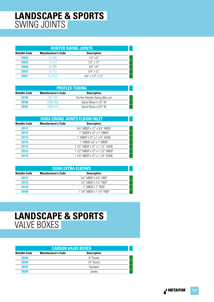### **LANDSCAPE & SPORTS** SWING JOINTS

| <b>HUNTER SWING JOINTS</b> |                            |                            |  |
|----------------------------|----------------------------|----------------------------|--|
| <b>Netafim Code</b>        | <b>Manufacturer's Code</b> | <b>Description</b>         |  |
| <b>Z9034</b>               | SJ-506                     | $1/2$ " $\times$ 6"        |  |
| <b>Z9035</b>               | SJ-512                     | $1/2$ " x 12"              |  |
| <b>Z9036</b>               | SJ-706                     | $3/4$ " x 6"               |  |
| <b>Z9037</b>               | SJ-712                     | $3/4$ " x 12"              |  |
| 79077                      | SJ-7512                    | $3/4$ " x $1/2$ " x $12$ " |  |

| <b>PROFLEX TUBING</b> |                            |                                   |  |
|-----------------------|----------------------------|-----------------------------------|--|
| <b>Netafim Code</b>   | <b>Manufacturer's Code</b> | <b>Description</b>                |  |
| <b>Z8184</b>          | <b>HFT-100</b>             | Pro-flex Flexible Tubing 30m coil |  |
| <b>Z8180</b>          | <b>HSBE-050</b>            | Spiral Elbow x 1/2" M             |  |
| 78181                 | <b>HSBF-075</b>            | Spiral Elbow x 3/4" M             |  |

| <b>DURA SWING JOINTS ELBOW INLET</b> |                            |                                 |
|--------------------------------------|----------------------------|---------------------------------|
| <b>Netafim Code</b>                  | <b>Manufacturer's Code</b> | <b>Description</b>              |
| Z9171                                |                            | 3/4" MBSP x 12" x 3/4" MBSP     |
| Z9173                                |                            | 1" MBSP x 12" x 1" MBSP         |
| <b>Z9174</b>                         |                            | 1" MBSP x 12" x 1 1/4" ACME     |
| Z9170                                |                            | 1" MBSP x 8" x 1" MBSP          |
| Z9176                                |                            | 1 1/2" MBSP x 12" x 1 1/2" ACME |
| <b>Z9172</b>                         |                            | 11/2" MBSP x 12" x 11/2" MBSP   |
| <b>Z9175</b>                         |                            | 1 1/4" MBSP x 12" x 1 1/4" ACME |

| <b>DURA EXTRA ELBOWS</b> |                            |                           |  |
|--------------------------|----------------------------|---------------------------|--|
| <b>Netafim Code</b>      | <b>Manufacturer's Code</b> | <b>Description</b>        |  |
| <b>Z9177</b>             |                            | 3/4" MBSP x 3/4" FBSP     |  |
| <b>Z9179</b>             |                            | 1/2" MBSP x 1/2" FBSP     |  |
| <b>Z9178</b>             |                            | 1" MBSP x 1" FBSP         |  |
| <b>Z8180</b>             |                            | 1 1/4" MBSP x 1 1/4" FBSP |  |

### **LANDSCAPE & SPORTS** VALVE BOXES

| <b>CARSON VALVE BOXES</b> |                            |                    |  |
|---------------------------|----------------------------|--------------------|--|
| <b>Netafim Code</b>       | <b>Manufacturer's Code</b> | <b>Description</b> |  |
| <b>Z8345</b>              |                            | 6" Round           |  |
| <b>Z8346</b>              |                            | 10" Round          |  |
| <b>Z8347</b>              |                            | Standard           |  |
| 78348                     |                            | . lumhn            |  |

A<sup>&</sup> NETAFIM **171**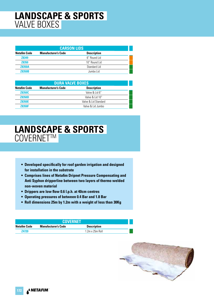### **LANDSCAPE & SPORTS** VALVE BOXES

| <b>CARSON LIDS</b>  |                            |                    |  |
|---------------------|----------------------------|--------------------|--|
| <b>Netafim Code</b> | <b>Manufacturer's Code</b> | <b>Description</b> |  |
| Z8349               |                            | 6" Round Lid       |  |
| <b>Z8350</b>        |                            | 10" Round Lid      |  |
| <b>Z8350A</b>       |                            | Standard Lid       |  |
| <b>78350B</b>       |                            | Jumbo Lid          |  |

| <b>DURA VALVE BOXES</b> |                            |                      |  |
|-------------------------|----------------------------|----------------------|--|
| <b>Netafim Code</b>     | <b>Manufacturer's Code</b> | <b>Description</b>   |  |
| Z8350C                  |                            | Valve & Lid 6"       |  |
| <b>Z8350D</b>           |                            | Valve & Lid 10"      |  |
| <b>Z8350E</b>           |                            | Valve & Lid Standard |  |
| <b>78350F</b>           |                            | Valve & Lid Jumbo    |  |

## **LANDSCAPE & SPORTS** COVERNETTM

- **Developed specifically for roof garden irrigation and designed for installation in the substrate**
- **Comprises lines of Netafim Dripnet Pressure Compensating and Anti Syphon dripperline between two layers of thermo welded non-woven material**
- **Drippers are low flow 0.6 l.p.h. at 40cm centres**
- **Operating pressures of between 0.4 Bar and 1.8 Bar**
- **Roll dimensions 25m by 1.2m with a weight of less than 30Kg**

| <b>COVERNET</b>                                                         |  |                        |  |  |
|-------------------------------------------------------------------------|--|------------------------|--|--|
| <b>Netafim Code</b><br><b>Manufacturer's Code</b><br><b>Description</b> |  |                        |  |  |
| <b>Z4720</b>                                                            |  | $1.2m \times 25m$ Roll |  |  |

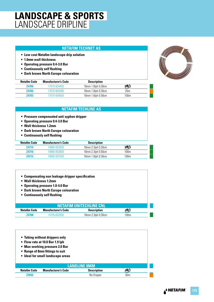### **LANDSCAPE & SPORTS** LANDSCAPE DRIPLINE

### **NETAFIM TECHNET AS**

- **Low cost Netafim landscape drip solution**
- **1.0mm wall thickness**
- **Operating pressure 0.4-3.0 Bar**
- **Continuously self flushing**
- **Dark brown North Europe colouration**



| <b>Netafim Code</b> | <b>Manufacturer's Code</b> | <b>Description</b> |      |
|---------------------|----------------------------|--------------------|------|
| <b>Z4700</b>        | 17679-004400               | 16mm 1.6lph 0.30cm | Ø    |
| <b>Z4702</b>        | 17679-004380               | 16mm 1.6lph 0.30cm | 25m  |
| <b>Z4703</b>        | 17679-004600               | 16mm 1.6lph 0.50cm | 100m |

### **NETAFIM TECHLINE AS**

- **Pressure compensated anti syphon dripper**
- **Operating pressure 0.4-3.0 Bar**
- **Wall thickness 1.2mm**
- **Dark brown North Europe colouration**
- **Continuously self flushing**

| <b>Netafim Code</b> | <b>Manufacturer's Code</b> | <b>Description</b> |      |
|---------------------|----------------------------|--------------------|------|
| Z4714               | 14690-003500               | 16mm 2.3lph 0.30cm |      |
| <b>Z4716</b>        | 14690-003800               | 16mm 2.3lph 0.50cm | 100m |
| <b>Z4713</b>        | 14690-002500               | 16mm 1.6lph 0.30cm | 100m |

- **Compensating non leakage dripper specification**
- **Wall thickness 1.2mm**
- **Operating pressure 1.0-4.0 Bar**
- **Dark brown North Europe colouration**
- **Continuously self flushing**

| <b>INETAFIM UNITECHLINE CNL !</b> |                            |                    |                  |  |
|-----------------------------------|----------------------------|--------------------|------------------|--|
| Netafim Code                      | <b>Manufacturer's Code</b> | <b>Description</b> | ✍                |  |
| 74708                             | 14705-003300               | 16mm 2.3lph 0.30cm | 100 <sub>m</sub> |  |

| • Tubing without drippers only<br>• Flow rate at 10.0 Bar 1.9 lph<br>• Max working pressure 2.0 Bar<br>• Range of 8mm fittings to suit<br>• Ideal for small landscape areas<br><b>LANDLINE 8MM</b> |                            |                    |                 |  |
|----------------------------------------------------------------------------------------------------------------------------------------------------------------------------------------------------|----------------------------|--------------------|-----------------|--|
|                                                                                                                                                                                                    |                            |                    |                 |  |
| <b>Netafim Code</b>                                                                                                                                                                                | <b>Manufacturer's Code</b> | <b>Description</b> |                 |  |
| <b>Z4932</b>                                                                                                                                                                                       |                            | No Dripper         | 30 <sub>m</sub> |  |
|                                                                                                                                                                                                    |                            |                    |                 |  |